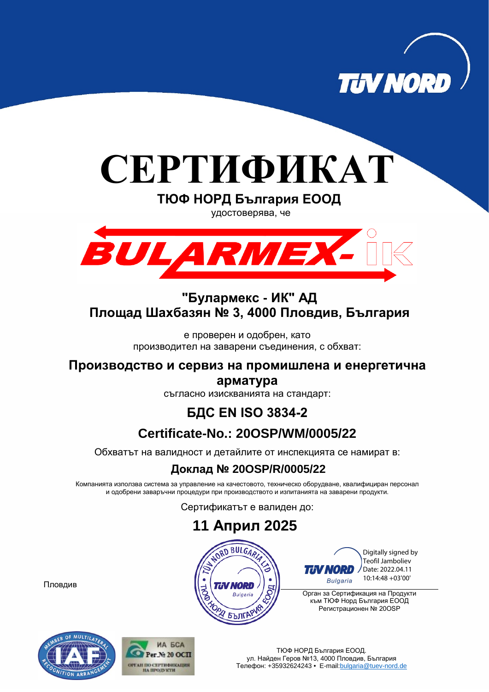

## **СЕРТИФИКАТ**

**ТЮФ НОРД България ЕООД**

удостоверява, че



## **"Булармекс - ИК" АД Площад Шахбазян № 3, 4000 Пловдив, България**

е проверен и одобрен, като производител на заварени съединения, с обхват:

**Производство и сервиз на промишлена и енергетична** 

**арматура**

съгласно изискванията на стандарт:

## **БДС EN ISO 3834-2**

## **Certificate-No.: 20OSP/WM/0005/22**

Обхватът на валидност и детайлите от инспекцията се намират в:

#### **Доклад № 20OSP/R/0005/22**

Компанията използва система за управление на качестовото, техническо оборудване, квалифициран персонал и одобрени заваръчни процедури при производството и изпитанията на заварени продукти.

Сертификатът е валиден до:

 **11 Април 2025** NORD BULGARIA Digitally signed by **ANS** Teofil Jamboliev *TIN NORD* Date: 2022.04.11 10:14:48 +03'00'**Bulgaria NORD** Орган за Сертификация на Продукти **Bulgaria** към ТЮФ Норд България ЕООД Регистрационен № 20OSP **БЪЛГАР** 

Пловдив



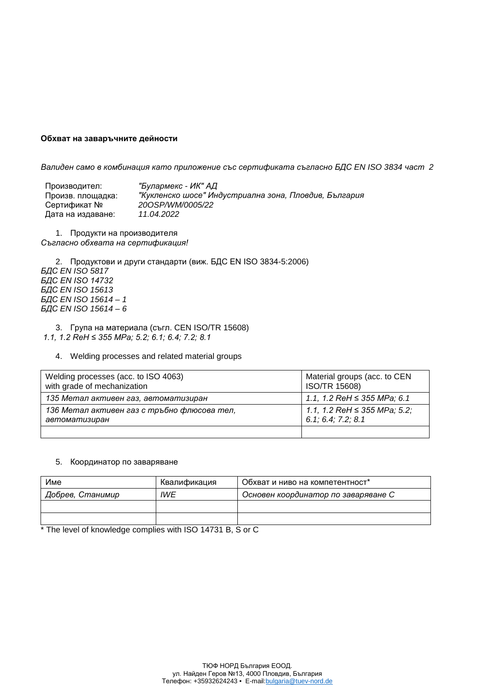#### **Обхват на заваръчните дейности**

*Валиден само в комбинация като приложение със сертификата съгласно БДС EN ISO 3834 част 2*

Производител: *"Булармекс - ИК" АД* Произв. площадка: *"Кукленско шосе" Индустриална зона, Пловдив, България* 200SP/WM/0005/22<br>11.04.2022 Дата на издаване: *11.04.2022*

1. Продукти на производителя *Съгласно обхвата на сертификация!*

2. Продуктови и други стандарти (виж. БДС EN ISO 3834-5:2006) *БДС EN ISO 5817 БДС EN ISO 14732 БДС EN ISO 15613 БДС EN ISO 15614 – 1 БДС EN ISO 15614 – 6*

3. Група на материала (съгл. CEN ISO/TR 15608) *1.1, 1.2 ReH ≤ 355 MPa; 5.2; 6.1; 6.4; 7.2; 8.1*

#### 4. Welding processes and related material groups

| Welding processes (acc. to ISO 4063)        | Material groups (acc. to CEN      |
|---------------------------------------------|-----------------------------------|
| with grade of mechanization                 | ISO/TR 15608)                     |
| 135 Метал активен газ, автоматизиран        | 1.1, 1.2 ReH $\leq$ 355 MPa; 6.1  |
| 136 Метал активен газ с тръбно флюсова тел, | 1.1, 1.2 ReH $\leq$ 355 MPa; 5.2; |
| автоматизиран                               | 6.1; 6.4; 7.2; 8.1                |
|                                             |                                   |

#### 5. Координатор по заваряване

| Име              | Квалификация | Обхват и ниво на компетентност*     |
|------------------|--------------|-------------------------------------|
| Добрев, Станимир | IWE          | Основен координатор по заваряване С |
|                  |              |                                     |
|                  |              |                                     |

\* The level of knowledge complies with ISO 14731 B, S or C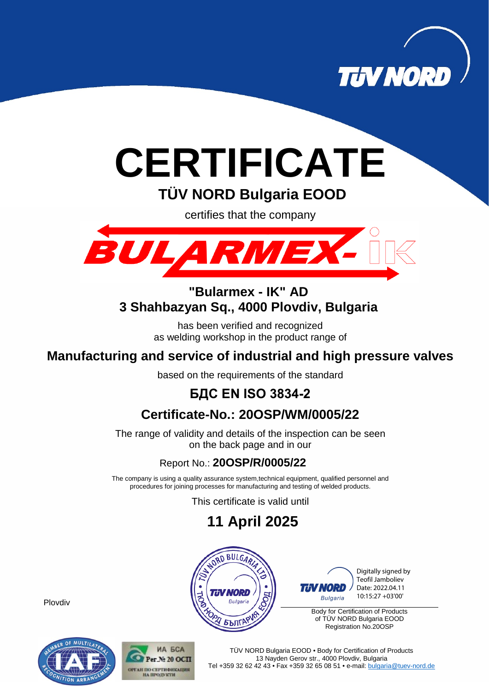

# **CERTIFICATE**

**TÜV NORD Bulgaria EOOD**

certifies that the company



#### **"Bularmex - IK" AD 3 Shahbazyan Sq., 4000 Plovdiv, Bulgaria**

has been verified and recognized as welding workshop in the product range of

## **Manufacturing and service of industrial and high pressure valves**

based on the requirements of the standard

## **БДС EN ISO 3834-2**

## **Certificate-No.: 20OSP/WM/0005/22**

The range of validity and details of the inspection can be seen on the back page and in our

#### Report No.: **20OSP/R/0005/22**

The company is using a quality assurance system,technical equipment, qualified personnel and procedures for joining processes for manufacturing and testing of welded products.

This certificate is valid until

## **11 April 2025**



Digitally signed by Teofil Jamboliev Date: 2022.04.11 10:15:27 +03'00'**Bulgaria** 

Body for Certification of Products of TÜV NORD Bulgaria EOOD Registration No.20OSP

Plovdiv





TÜV NORD Bulgaria EOOD • Body for Certification of Products 13 Nayden Gerov str., 4000 Plovdiv, Bulgaria Tel +359 32 62 42 43 • Fax +359 32 65 08 51 • e-mail[: bulgaria@tuev-nord.de](mailto:bulgaria@tuev-nord.de)